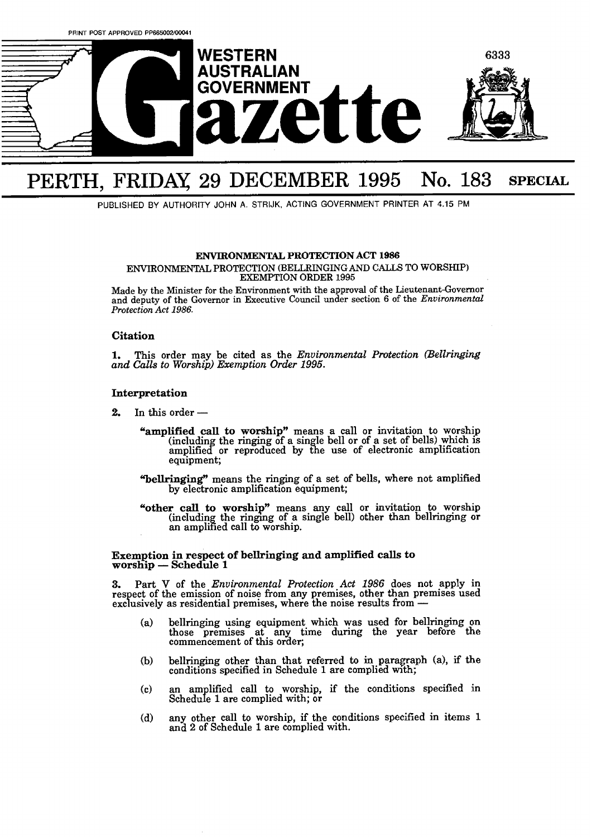

# PERTH, FRIDAY, 29 DECEMBER 1995 No. 183 SPECIAL

PUBLISHED BY AUTHORITY JOHN A. STRIJK, ACTING GOVERNMENT PRINTER AT 4.15 **PM** 

#### **ENVIRONMENTAL PROTECTION ACT 1986**

**ENVIRONMENTAL PROTECTION (BELLRINGING AND CALLS TO WORSHIP) EXEMPTION ORDER 1995** 

**Made by the Minister for the Environment with the approval of the Lieutenant-Governor and deputy of the Governor in Executive Council under section 6 of the** *Environmental Protection Act 1986.* 

## **Citation**

**1.** This order may be cited as the *Environmental Protection (Bellringing and Calls to Worship) Exemption Order 1995.* 

## **Interpretation**

2. In this order  $-$ 

- "**amplified call to worship**" means a call or invitation to worship (including the ringing of a single bell or of a set of bells) which is equipment; amplified or reproduced by the use of electronic amplification
- **"bellringing"** means the ringing of a set of bells, where not amplified by electronic amplification equipment;
- "other call to worship" means any call or invitation to worship (including the ringing of a single bell) other than bellringing or an amplified call to worship.

# **Exemption in respect of bellringing and amplified calls to worship** - **Schedule 1**

**3.** Part V of the *Environmental Protection Act 1986* does not apply in respect of the emission of noise from any premises, other than premises used exclusively as residential premises, where the noise results from respect of the emission of noise from any premises, other than premises used exclusively as residential premises, where the noise results from —

- bellringing using equipment which was used for bellringing on  $(a)$ those premses at any time during the year before the commencement of this order;
- bellringing other than that referred to in paragraph **(a),** if the (b) conditions specified in Schedule **1** are complied with;
- an amplified call to worship, if the conditions specified in  $(c)$ Schedule 1 are complied with; or
- **any** other call to worship, if the conditions specified in items l  $(d)$ and 2 of Schedule 1 are complied with.